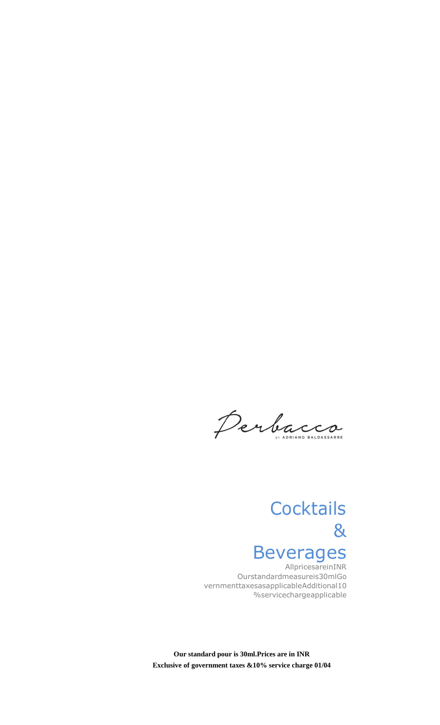Perbacco

# **Cocktails** & Beverages

AllpricesareinINR Ourstandardmeasureis30mlGo vernmenttaxesasapplicableAdditional10 %servicechargeapplicable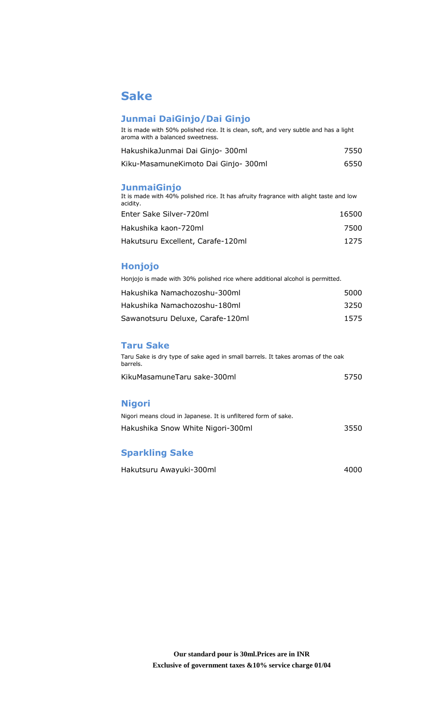## **Sake**

#### **Junmai DaiGinjo/Dai Ginjo**

| It is made with 50% polished rice. It is clean, soft, and very subtle and has a light |  |  |
|---------------------------------------------------------------------------------------|--|--|
| aroma with a balanced sweetness.                                                      |  |  |

| HakushikaJunmai Dai Ginjo-300ml      | 7550 |
|--------------------------------------|------|
| Kiku-MasamuneKimoto Dai Ginjo- 300ml | 6550 |

#### **JunmaiGinjo**

It is made with 40% polished rice. It has afruity fragrance with alight taste and low acidity. Enter Sake Silver-720ml 16500 Hakushika kaon-720ml 7500 Hakutsuru Excellent, Carafe-120ml 1275

#### **Honjojo**

Honjojo is made with 30% polished rice where additional alcohol is permitted.

| Hakushika Namachozoshu-300ml     | 5000 |
|----------------------------------|------|
| Hakushika Namachozoshu-180ml     | 3250 |
| Sawanotsuru Deluxe, Carafe-120ml | 1575 |

#### **Taru Sake**

| Taru Sake is dry type of sake aged in small barrels. It takes aromas of the oak<br>barrels. |      |
|---------------------------------------------------------------------------------------------|------|
| KikuMasamuneTaru sake-300ml                                                                 | 5750 |

#### **Nigori**

| Nigori means cloud in Japanese. It is unfiltered form of sake. |      |
|----------------------------------------------------------------|------|
| Hakushika Snow White Nigori-300ml                              | 3550 |
|                                                                |      |

#### **Sparkling Sake**

| Hakutsuru Awayuki-300ml | 4000 |
|-------------------------|------|
|                         |      |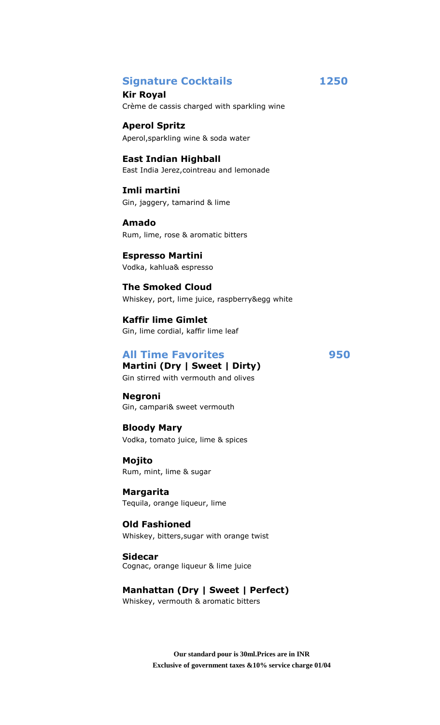## **Signature Cocktails 1250**

**Kir Royal** Crème de cassis charged with sparkling wine

**Aperol Spritz** Aperol,sparkling wine & soda water

**East Indian Highball** East India Jerez,cointreau and lemonade

**Imli martini** Gin, jaggery, tamarind & lime

**Amado** Rum, lime, rose & aromatic bitters

**Espresso Martini** Vodka, kahlua& espresso

**The Smoked Cloud** Whiskey, port, lime juice, raspberry&egg white

**Kaffir lime Gimlet** Gin, lime cordial, kaffir lime leaf

## **All Time Favorites 950 Martini (Dry | Sweet | Dirty)**

Gin stirred with vermouth and olives

**Negroni**

Gin, campari& sweet vermouth **Bloody Mary**

Vodka, tomato juice, lime & spices

**Mojito** Rum, mint, lime & sugar

**Margarita** Tequila, orange liqueur, lime

**Old Fashioned** Whiskey, bitters,sugar with orange twist

**Sidecar** Cognac, orange liqueur & lime juice

**Manhattan (Dry | Sweet | Perfect)** Whiskey, vermouth & aromatic bitters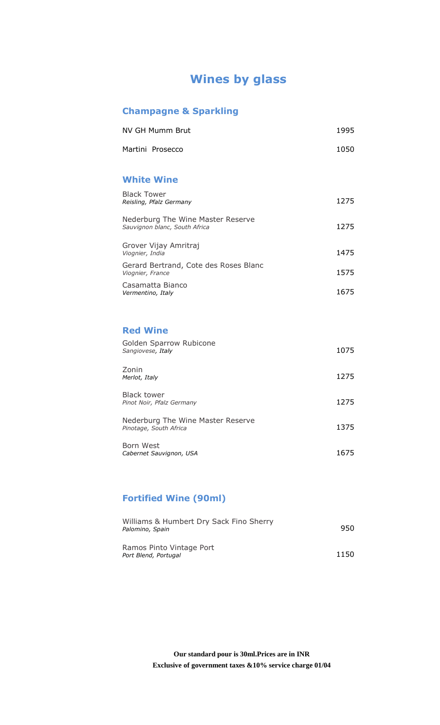## **Wines by glass**

## **Champagne & Sparkling**

| NV GH Mumm Brut  | 1995 |
|------------------|------|
| Martini Prosecco | 1050 |

#### **White Wine**

| <b>Black Tower</b><br>Reisling, Pfalz Germany                      | 1275 |
|--------------------------------------------------------------------|------|
| Nederburg The Wine Master Reserve<br>Sauvignon blanc, South Africa | 1275 |
| Grover Vijay Amritraj<br>Viognier, India                           | 1475 |
| Gerard Bertrand, Cote des Roses Blanc<br>Viognier, France          | 1575 |
| Casamatta Bianco<br>Vermentino, Italy                              | 1675 |

## **Red Wine**

| Golden Sparrow Rubicone<br>Sangiovese, Italy                | 1075 |
|-------------------------------------------------------------|------|
| Zonin<br>Merlot, Italy                                      | 1275 |
| <b>Black tower</b><br>Pinot Noir, Pfalz Germany             | 1275 |
| Nederburg The Wine Master Reserve<br>Pinotage, South Africa | 1375 |
| Born West<br>Cabernet Sauvignon, USA                        | 1675 |

## **Fortified Wine (90ml)**

| Williams & Humbert Dry Sack Fino Sherry<br>Palomino, Spain | 950  |
|------------------------------------------------------------|------|
| Ramos Pinto Vintage Port<br>Port Blend, Portugal           | 1150 |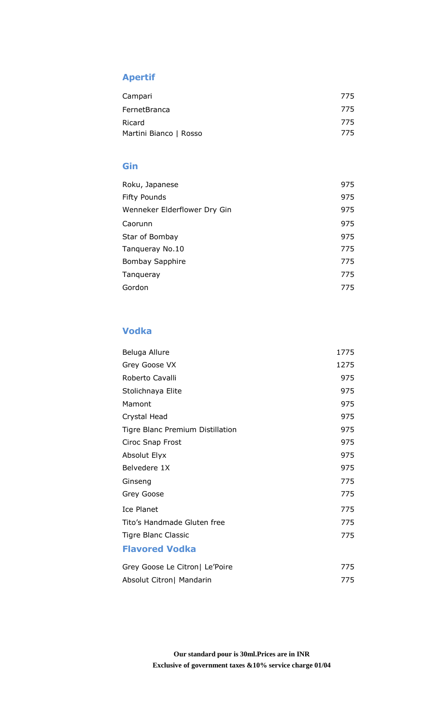## **Apertif**

| Campari                | 775 |
|------------------------|-----|
| FernetBranca           | 775 |
| Ricard                 | 775 |
| Martini Bianco   Rosso | 775 |

## **Gin**

| Roku, Japanese               | 975 |
|------------------------------|-----|
| <b>Fifty Pounds</b>          | 975 |
| Wenneker Elderflower Dry Gin | 975 |
| Caorunn                      | 975 |
| Star of Bombay               | 975 |
| Tangueray No.10              | 775 |
| Bombay Sapphire              | 775 |
| Tangueray                    | 775 |
| Gordon                       | 775 |

## **Vodka**

| Beluga Allure                    | 1775 |
|----------------------------------|------|
| Grey Goose VX                    | 1275 |
| Roberto Cavalli                  | 975  |
| Stolichnaya Elite                | 975  |
| Mamont                           | 975  |
| Crystal Head                     | 975  |
| Tigre Blanc Premium Distillation | 975  |
| Ciroc Snap Frost                 | 975  |
| Absolut Elyx                     | 975  |
| Belvedere 1X                     | 975  |
| Ginseng                          | 775  |
| Grey Goose                       | 775  |
| Ice Planet                       | 775  |
| Tito's Handmade Gluten free      | 775  |
| Tigre Blanc Classic              | 775  |
| <b>Flavored Vodka</b>            |      |
| Grey Goose Le Citron  Le'Poire   | 775  |

Absolut Citron| Mandarin 275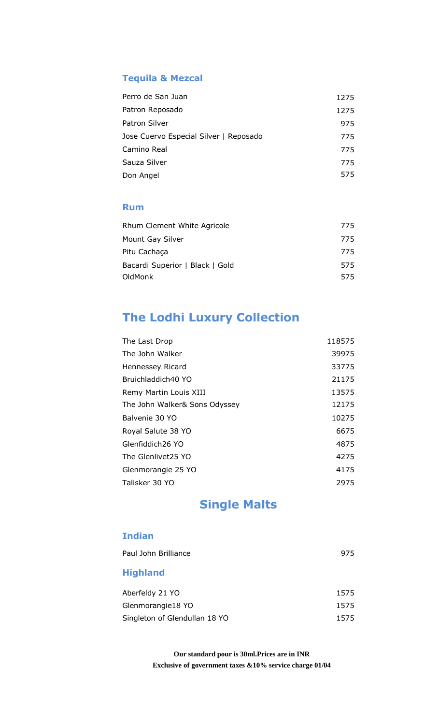## **Tequila & Mezcal**

| Perro de San Juan                      | 1275 |
|----------------------------------------|------|
| Patron Reposado                        | 1275 |
| Patron Silver                          | 975  |
| Jose Cuervo Especial Silver   Reposado | 775  |
| Camino Real                            | 775  |
| Sauza Silver                           | 775  |
| Don Angel                              | 575  |

## **Rum**

| <b>Rhum Clement White Agricole</b> | 775 |
|------------------------------------|-----|
| Mount Gay Silver                   | 775 |
| Pitu Cachaca                       | 775 |
| Bacardi Superior   Black   Gold    | 575 |
| OldMonk                            | 575 |

## **The Lodhi Luxury Collection**

| 118575 |
|--------|
| 39975  |
| 33775  |
| 21175  |
| 13575  |
| 12175  |
| 10275  |
| 6675   |
| 4875   |
| 4275   |
| 4175   |
| 2975   |
|        |

## **Single Malts**

## **Indian**

| Paul John Brilliance          | 975  |
|-------------------------------|------|
| <b>Highland</b>               |      |
| Aberfeldy 21 YO               | 1575 |
| Glenmorangie18 YO             | 1575 |
| Singleton of Glendullan 18 YO | 1575 |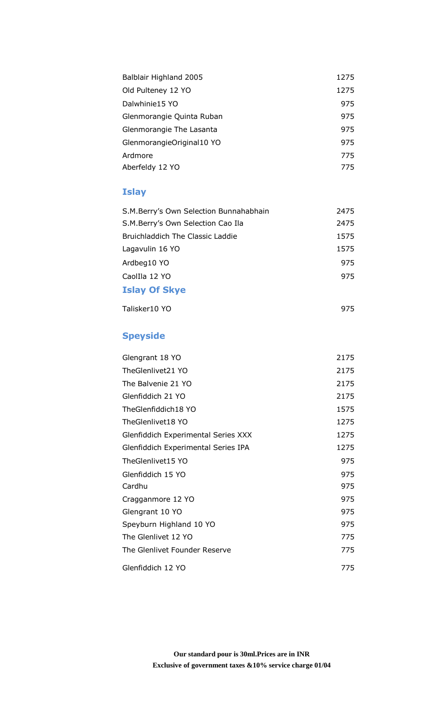| Balblair Highland 2005    | 1275 |
|---------------------------|------|
| Old Pulteney 12 YO        | 1275 |
| Dalwhinie15 YO            | 975  |
| Glenmorangie Quinta Ruban | 975  |
| Glenmorangie The Lasanta  | 975  |
| GlenmorangieOriginal10 YO | 975  |
| Ardmore                   | 775  |
| Aberfeldy 12 YO           | 775  |

## **Islay**

| S.M.Berry's Own Selection Bunnahabhain | 2475 |
|----------------------------------------|------|
| S.M.Berry's Own Selection Cao Ila      | 2475 |
| Bruichladdich The Classic Laddie       | 1575 |
| Lagavulin 16 YO                        | 1575 |
| Ardbeg10 YO                            | 975  |
| Caollla 12 YO                          | 975  |
| <b>Islay Of Skye</b>                   |      |

Talisker10 YO 975

## **Speyside**

| Glengrant 18 YO                            | 2175 |
|--------------------------------------------|------|
| TheGlenlivet21 YO                          | 2175 |
| The Balvenie 21 YO                         | 2175 |
| Glenfiddich 21 YO                          | 2175 |
| TheGlenfiddich18 YO                        | 1575 |
| TheGlenlivet18 YO                          | 1275 |
| <b>Glenfiddich Experimental Series XXX</b> | 1275 |
| Glenfiddich Experimental Series IPA        | 1275 |
| TheGlenlivet15 YO                          | 975  |
| Glenfiddich 15 YO                          | 975  |
| Cardhu                                     | 975  |
| Cragganmore 12 YO                          | 975  |
| Glengrant 10 YO                            | 975  |
| Speyburn Highland 10 YO                    | 975  |
| The Glenlivet 12 YO                        | 775  |
| The Glenlivet Founder Reserve              | 775  |
| Glenfiddich 12 YO                          | 775  |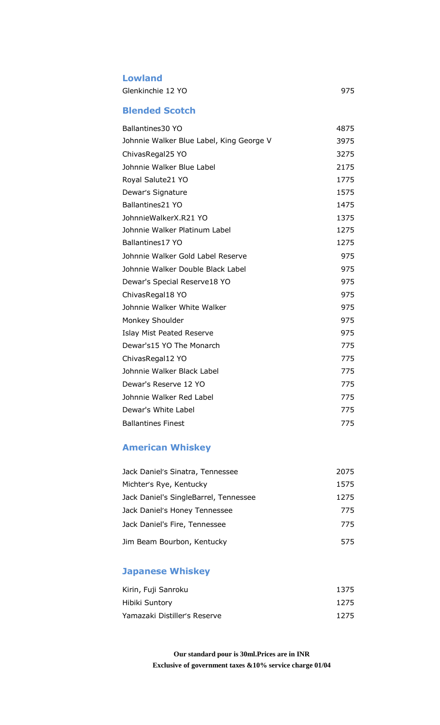#### **Lowland**

Glenkinchie 12 YO 975

## **Blended Scotch**

| Ballantines30 YO                         | 4875 |
|------------------------------------------|------|
| Johnnie Walker Blue Label, King George V | 3975 |
| ChivasRegal25 YO                         | 3275 |
| Johnnie Walker Blue Label                | 2175 |
| Royal Salute21 YO                        | 1775 |
| Dewar's Signature                        | 1575 |
| Ballantines21 YO                         | 1475 |
| JohnnieWalkerX.R21 YO                    | 1375 |
| Johnnie Walker Platinum Label            | 1275 |
| Ballantines17 YO                         | 1275 |
| Johnnie Walker Gold Label Reserve        | 975  |
| Johnnie Walker Double Black Label        | 975  |
| Dewar's Special Reserve18 YO             | 975  |
| ChivasRegal18 YO                         | 975  |
| Johnnie Walker White Walker              | 975  |
| Monkey Shoulder                          | 975  |
| <b>Islay Mist Peated Reserve</b>         | 975  |
| Dewar's15 YO The Monarch                 | 775  |
| ChivasRegal12 YO                         | 775  |
| Johnnie Walker Black Label               | 775  |
| Dewar's Reserve 12 YO                    | 775  |
| Johnnie Walker Red Label                 | 775  |
| Dewar's White Label                      | 775  |
| <b>Ballantines Finest</b>                | 775  |

## **American Whiskey**

| Jack Daniel's Sinatra, Tennessee      | 2075 |
|---------------------------------------|------|
| Michter's Rye, Kentucky               | 1575 |
| Jack Daniel's SingleBarrel, Tennessee | 1275 |
| Jack Daniel's Honey Tennessee         | 775  |
| Jack Daniel's Fire, Tennessee         | 775  |
| Jim Beam Bourbon, Kentucky            | 575  |

## **Japanese Whiskey**

| Kirin, Fuji Sanroku          | 1375 |
|------------------------------|------|
| Hibiki Suntory               | 1275 |
| Yamazaki Distiller's Reserve | 1275 |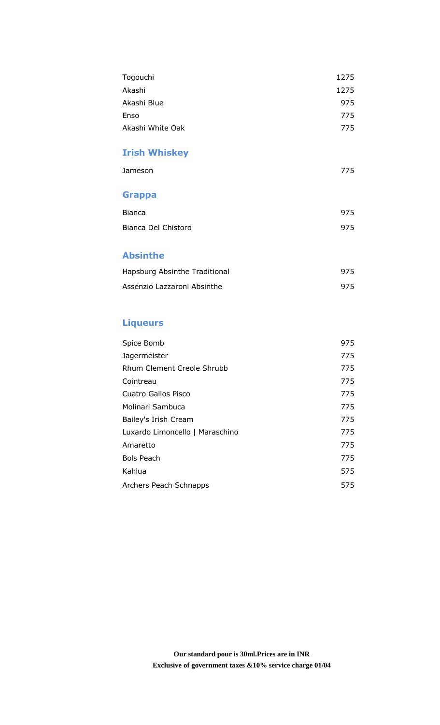| Togouchi         | 1275 |
|------------------|------|
| Akashi           | 1275 |
| Akashi Blue      | 975  |
| Enso             | 775  |
| Akashi White Oak | 775  |
|                  |      |

## **Irish Whiskey**

| Jameson | 775 |
|---------|-----|
|         |     |

## **Grappa**

| Bianca              | 975 |
|---------------------|-----|
| Bianca Del Chistoro | 975 |

## **Absinthe**

| Hapsburg Absinthe Traditional | 975 |
|-------------------------------|-----|
| Assenzio Lazzaroni Absinthe   | 975 |

## **Liqueurs**

| 975 |
|-----|
| 775 |
| 775 |
| 775 |
| 775 |
| 775 |
| 775 |
| 775 |
| 775 |
| 775 |
| 575 |
| 575 |
|     |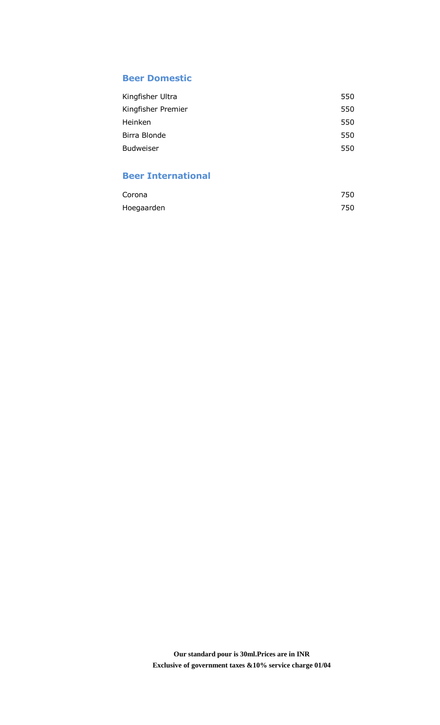#### **Beer Domestic**

| 550 |
|-----|
| 550 |
| 550 |
| 550 |
| 550 |
|     |

## **Beer International**

| Corona     | 750 |
|------------|-----|
| Hoegaarden | 750 |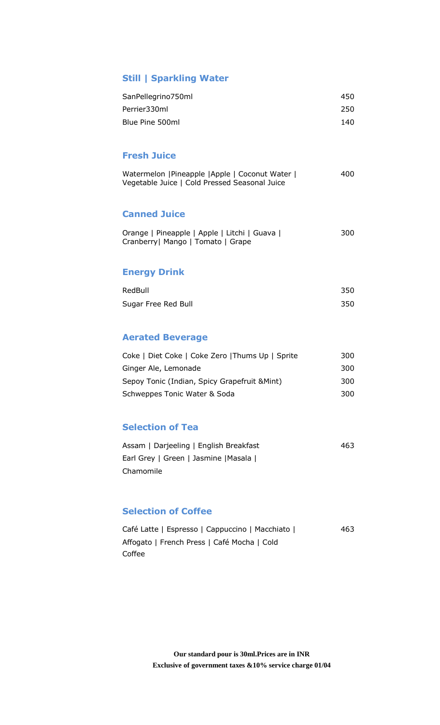## **Still | Sparkling Water**

| SanPellegrino750ml | 450 |
|--------------------|-----|
| Perrier330ml       | 250 |
| Blue Pine 500ml    | 140 |

#### **Fresh Juice**

| Watermelon   Pineapple   Apple   Coconut Water | 400 |
|------------------------------------------------|-----|
| Vegetable Juice   Cold Pressed Seasonal Juice  |     |

#### **Canned Juice**

| Orange   Pineapple   Apple   Litchi   Guava | 300 |
|---------------------------------------------|-----|
| Cranberry   Mango   Tomato   Grape          |     |

#### **Energy Drink**

| RedBull             | 350 |
|---------------------|-----|
| Sugar Free Red Bull | 350 |

## **Aerated Beverage**

| Coke   Diet Coke   Coke Zero   Thums Up   Sprite | 300 |
|--------------------------------------------------|-----|
| Ginger Ale, Lemonade                             | 300 |
| Sepoy Tonic (Indian, Spicy Grapefruit & Mint)    | 300 |
| Schweppes Tonic Water & Soda                     | 300 |

## **Selection of Tea**

| Assam   Darjeeling   English Breakfast | 463 |
|----------------------------------------|-----|
| Earl Grey   Green   Jasmine   Masala   |     |
| Chamomile                              |     |

#### **Selection of Coffee**

| Café Latte   Espresso   Cappuccino   Macchiato | 463 |
|------------------------------------------------|-----|
| Affogato   French Press   Café Mocha   Cold    |     |
| Coffee                                         |     |